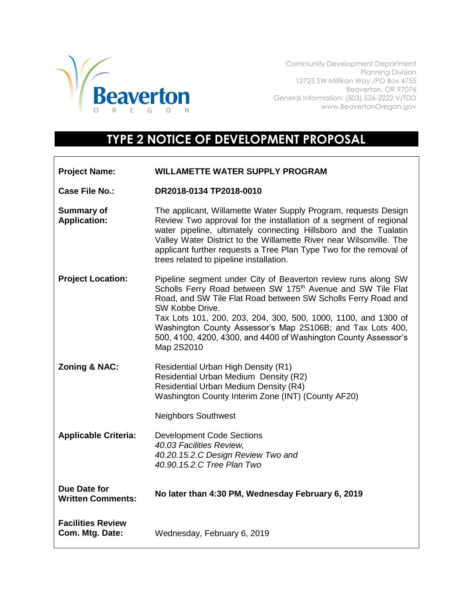

Community Development Department Planning Division 12725 SW Millikan Way /PO Box 4755 Beaverton, OR 97076 General Information: (503) 526-2222 V/TDD www.BeavertonOregon.gov

## **TYPE 2 NOTICE OF DEVELOPMENT PROPOSAL**

| <b>Project Name:</b>                            | <b>WILLAMETTE WATER SUPPLY PROGRAM</b>                                                                                                                                                                                                                                                                                                                                                                                                        |
|-------------------------------------------------|-----------------------------------------------------------------------------------------------------------------------------------------------------------------------------------------------------------------------------------------------------------------------------------------------------------------------------------------------------------------------------------------------------------------------------------------------|
| <b>Case File No.:</b>                           | DR2018-0134 TP2018-0010                                                                                                                                                                                                                                                                                                                                                                                                                       |
| <b>Summary of</b><br><b>Application:</b>        | The applicant, Willamette Water Supply Program, requests Design<br>Review Two approval for the installation of a segment of regional<br>water pipeline, ultimately connecting Hillsboro and the Tualatin<br>Valley Water District to the Willamette River near Wilsonville. The<br>applicant further requests a Tree Plan Type Two for the removal of<br>trees related to pipeline installation.                                              |
| <b>Project Location:</b>                        | Pipeline segment under City of Beaverton review runs along SW<br>Scholls Ferry Road between SW 175 <sup>th</sup> Avenue and SW Tile Flat<br>Road, and SW Tile Flat Road between SW Scholls Ferry Road and<br>SW Kobbe Drive.<br>Tax Lots 101, 200, 203, 204, 300, 500, 1000, 1100, and 1300 of<br>Washington County Assessor's Map 2S106B; and Tax Lots 400,<br>500, 4100, 4200, 4300, and 4400 of Washington County Assessor's<br>Map 2S2010 |
| Zoning & NAC:                                   | Residential Urban High Density (R1)<br>Residential Urban Medium Density (R2)<br>Residential Urban Medium Density (R4)<br>Washington County Interim Zone (INT) (County AF20)<br><b>Neighbors Southwest</b>                                                                                                                                                                                                                                     |
| <b>Applicable Criteria:</b>                     | <b>Development Code Sections</b><br>40.03 Facilities Review,<br>40.20.15.2.C Design Review Two and<br>40.90.15.2.C Tree Plan Two                                                                                                                                                                                                                                                                                                              |
| <b>Due Date for</b><br><b>Written Comments:</b> | No later than 4:30 PM, Wednesday February 6, 2019                                                                                                                                                                                                                                                                                                                                                                                             |
| <b>Facilities Review</b><br>Com. Mtg. Date:     | Wednesday, February 6, 2019                                                                                                                                                                                                                                                                                                                                                                                                                   |